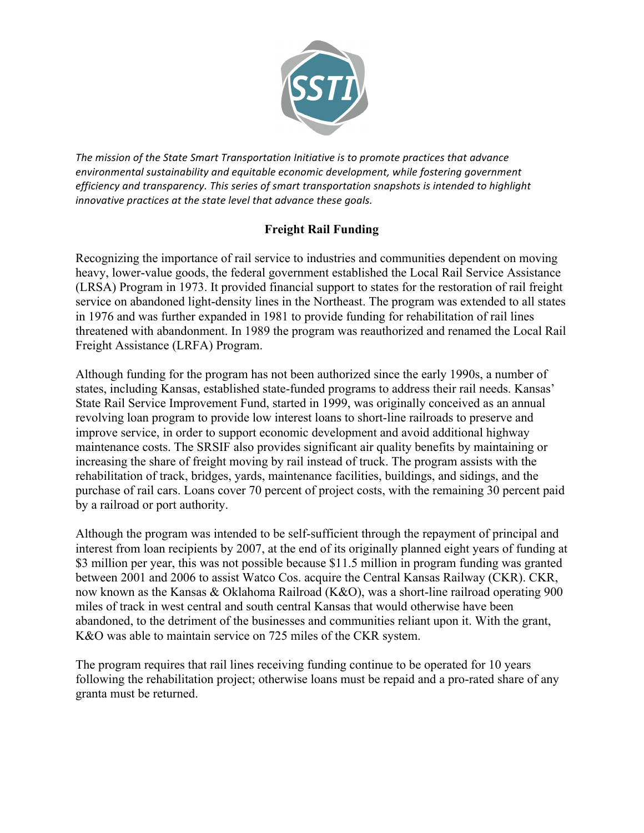

The mission of the State Smart Transportation Initiative is to promote practices that advance environmental sustainability and equitable economic development, while fostering government efficiency and transparency. This series of smart transportation snapshots is intended to highlight innovative practices at the state level that advance these goals.

## **Freight Rail Funding**

Recognizing the importance of rail service to industries and communities dependent on moving heavy, lower-value goods, the federal government established the Local Rail Service Assistance (LRSA) Program in 1973. It provided financial support to states for the restoration of rail freight service on abandoned light-density lines in the Northeast. The program was extended to all states in 1976 and was further expanded in 1981 to provide funding for rehabilitation of rail lines threatened with abandonment. In 1989 the program was reauthorized and renamed the Local Rail Freight Assistance (LRFA) Program.

Although funding for the program has not been authorized since the early 1990s, a number of states, including Kansas, established state-funded programs to address their rail needs. Kansas' State Rail Service Improvement Fund, started in 1999, was originally conceived as an annual revolving loan program to provide low interest loans to short-line railroads to preserve and improve service, in order to support economic development and avoid additional highway maintenance costs. The SRSIF also provides significant air quality benefits by maintaining or increasing the share of freight moving by rail instead of truck. The program assists with the rehabilitation of track, bridges, yards, maintenance facilities, buildings, and sidings, and the purchase of rail cars. Loans cover 70 percent of project costs, with the remaining 30 percent paid by a railroad or port authority.

Although the program was intended to be self-sufficient through the repayment of principal and interest from loan recipients by 2007, at the end of its originally planned eight years of funding at \$3 million per year, this was not possible because \$11.5 million in program funding was granted between 2001 and 2006 to assist Watco Cos. acquire the Central Kansas Railway (CKR). CKR, now known as the Kansas & Oklahoma Railroad (K&O), was a short-line railroad operating 900 miles of track in west central and south central Kansas that would otherwise have been abandoned, to the detriment of the businesses and communities reliant upon it. With the grant, K&O was able to maintain service on 725 miles of the CKR system.

The program requires that rail lines receiving funding continue to be operated for 10 years following the rehabilitation project; otherwise loans must be repaid and a pro-rated share of any granta must be returned.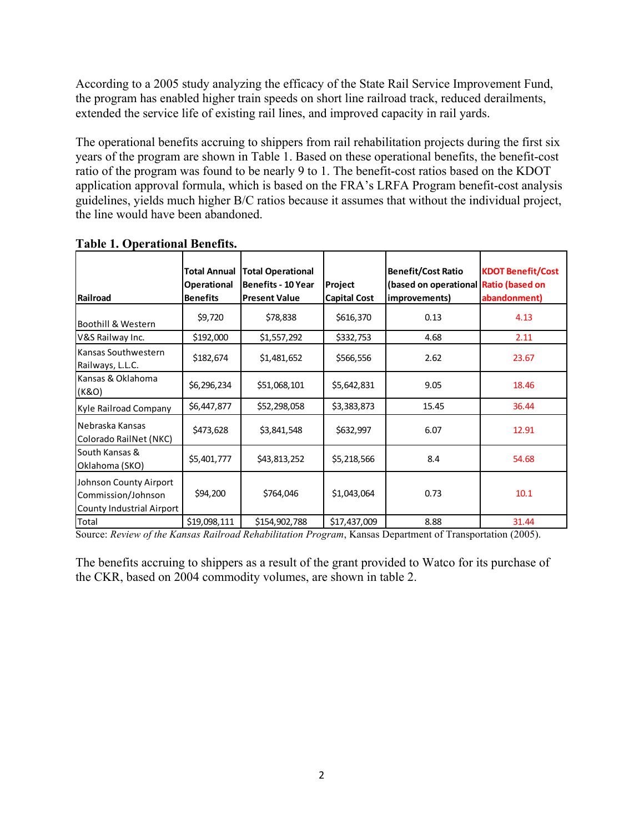According to a 2005 study analyzing the efficacy of the State Rail Service Improvement Fund, the program has enabled higher train speeds on short line railroad track, reduced derailments, extended the service life of existing rail lines, and improved capacity in rail yards.

The operational benefits accruing to shippers from rail rehabilitation projects during the first six years of the program are shown in Table 1. Based on these operational benefits, the benefit-cost ratio of the program was found to be nearly 9 to 1. The benefit-cost ratios based on the KDOT application approval formula, which is based on the FRA's LRFA Program benefit-cost analysis guidelines, yields much higher B/C ratios because it assumes that without the individual project, the line would have been abandoned.

| Railroad                                                                  | <b>Total Annual</b><br><b>Operational</b><br><b>Benefits</b> | <b>Total Operational</b><br><b>Benefits - 10 Year</b><br><b>Present Value</b> | Project<br><b>Capital Cost</b> | <b>Benefit/Cost Ratio</b><br>(based on operational Ratio (based on<br>improvements) | <b>KDOT Benefit/Cost</b><br>abandonment) |
|---------------------------------------------------------------------------|--------------------------------------------------------------|-------------------------------------------------------------------------------|--------------------------------|-------------------------------------------------------------------------------------|------------------------------------------|
| Boothill & Western                                                        | \$9,720                                                      | \$78,838                                                                      | \$616,370                      | 0.13                                                                                | 4.13                                     |
| V&S Railway Inc.                                                          | \$192,000                                                    | \$1,557,292                                                                   | \$332,753                      | 4.68                                                                                | 2.11                                     |
| Kansas Southwestern<br>Railways, L.L.C.                                   | \$182,674                                                    | \$1,481,652                                                                   | \$566,556                      | 2.62                                                                                | 23.67                                    |
| Kansas & Oklahoma<br>(K&O)                                                | \$6,296,234                                                  | \$51,068,101                                                                  | \$5,642,831                    | 9.05                                                                                | 18.46                                    |
| Kyle Railroad Company                                                     | \$6,447,877                                                  | \$52,298,058                                                                  | \$3,383,873                    | 15.45                                                                               | 36.44                                    |
| Nebraska Kansas<br>Colorado RailNet (NKC)                                 | \$473,628                                                    | \$3,841,548                                                                   | \$632,997                      | 6.07                                                                                | 12.91                                    |
| South Kansas &<br>Oklahoma (SKO)                                          | \$5,401,777                                                  | \$43,813,252                                                                  | \$5,218,566                    | 8.4                                                                                 | 54.68                                    |
| Johnson County Airport<br>Commission/Johnson<br>County Industrial Airport | \$94,200                                                     | \$764,046                                                                     | \$1,043,064                    | 0.73                                                                                | 10.1                                     |
| Total                                                                     | \$19,098,111                                                 | \$154,902,788                                                                 | \$17,437,009                   | 8.88                                                                                | 31.44                                    |

Table 1. Operational Benefits Operational Benefits - Shipper Cost Savings

Source: *Review of the Kansas Railroad Rehabilitation Program*, Kansas Department of Transportation (2005).

The benefits accruing to shippers as a result of the grant provided to Watco for its purchase of the CKR, based on 2004 commodity volumes, are shown in table 2.